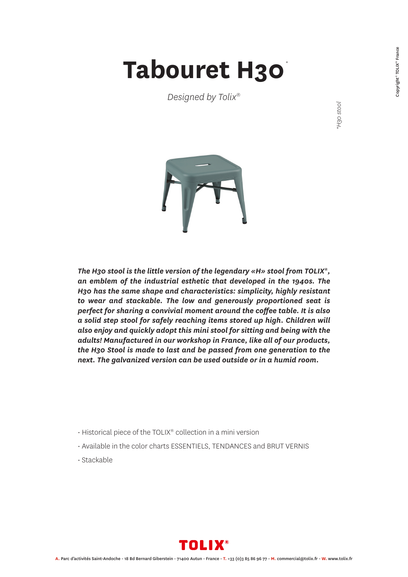## **Tabouret H30** *\**

*Designed by Tolix®*

*\*H30 stool*



*The H30 stool is the little version of the legendary «H» stool from TOLIX®, an emblem of the industrial esthetic that developed in the 1940s. The H30 has the same shape and characteristics: simplicity, highly resistant to wear and stackable. The low and generously proportioned seat is perfect for sharing a convivial moment around the coffee table. It is also a solid step stool for safely reaching items stored up high. Children will also enjoy and quickly adopt this mini stool for sitting and being with the adults! Manufactured in our workshop in France, like all of our products, the H30 Stool is made to last and be passed from one generation to the next. The galvanized version can be used outside or in a humid room.*

- Historical piece of the TOLIX® collection in a mini version
- Available in the color charts ESSENTIELS, TENDANCES and BRUT VERNIS
- Stackable